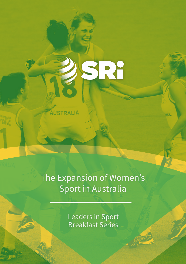# The Expansion of Women's Sport in Australia

AUSTRALIA

SRY

Leaders in Sport Breakfast Series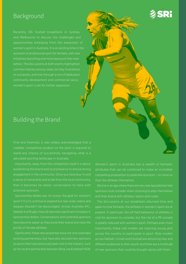#### Background

and Melbourne to discuss the challenges and opportunities emerging from the expansion of women's sport in Australia. It is an exciting time in the evolution of professional sport for females, with new initiatives launching and more exposure than ever before. The discussions at both events highlighted common themes among codes, be they frustrations or successes, and how through a mix of dedicated community development and commercial savvy, women's sport is set for further expansion.

#### Building the Brand

First and foremost, it was widely acknowledged that a credible, competitive product on the pitch is required to stand any chance of successfully navigating what is a saturated sporting landscape in Australia.

Importantly, away from the competition itself it is about establishing the brand and local presence to ensure strong engagement in the community. Once you have buy-in and a sense of ownership and pride from the local community, then it becomes far easier conversation to have with potential sponsors.

Sponsorship dollars are, of course, the goal for women's sport if it is to continue to expand but new clubs, teams and leagues shouldn't be discouraged. Across Australia AFL, Netball and Rugby have all reported significant increases in sponsorship dollars. Conversations with potential sponsors have become easier as they build their brand and raise the profile of female athletes.

Significantly these new properties have not only extended existing partnerships, but have also secured new sponsors to sports that have previously been lost to the industry, such as the recent partnership between Bing Lee & Netball NSW.

Women's sport in Australia has a wealth of fantastic attributes that can be combined to make an incredible compelling proposition to potential sponsors – no more so than the athletes themselves.

**SRI** 

We live in an age where there are very real reputational risks sponsors must consider when choosing to align themselves and their brand with athletes, teams and codes.

The discussions at our breakfasts returned time and again to how fantastic the athletes in women's sport are at present. In particular, the off field behaviour of athletes is vital for sponsors to consider, but the risk of a PR scandal is greatly reduced with women's sport. Perhaps even more importantly, these role models are inspiring young girls across the country to participate in sport. Role models across Netball, Cricket and Football are attracting new and different audiences to their sports and there are a multitude of new sponsors that could be brought along with them.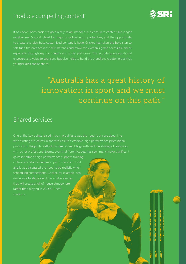### Produce compelling content



**UNERUPITIER MONETHOLITIC** 

**NETHULUMER** 

It has never been easier to go directly to an intended audience with content. No longer must women's sport plead for major broadcasting opportunities, and the opportunity to create and distribute customised content is huge. Cricket has taken the bold step to self-fund the broadcast of their matches and make the women's game accessible online especially through key community and social platforms. This activity gives additional exposure and value to sponsors, but also helps to build the brand and create heroes that younger girls can relate to.

## "Australia has a great history of innovation in sport and we must continue on this path."

#### Shared services

One of the key points raised in both breakfasts was the need to ensure deep links with existing structures in sport to ensure a credible, high performance professional product on the pitch. Netball has seen incredible growth and the sharing of resources with other professional teams, even in different codes, has seen many make significant

gains in terms of high performance support, training, culture, and stadia. Venues in particular are critical and it was discussed the need to be realistic when scheduling competitions. Cricket, for example, has made sure to stage events in smaller venues that will create a full of house atmosphere rather than playing in 70,000 + seat stadiums.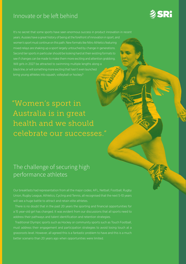### Innovate or be left behind

It's no secret that some sports have seen enormous success in product innovation in recent years. Aussies have a great history of being at the forefront of innovation in sport, and women's sport must continue on this path. New formats like Nitro Athletics featuring mixed relays are shaking up a sport largely untouched by change in generations. Second tier sports in particular should be looking hard at their existing formats to see if changes can be made to make them more exciting and attention grabbing. Will girls in 2027 be attracted to swimming multiple lengths along a black line, or will something more exciting that hasn't even launched bring young athletes into squash, volleyball or hockey?

**SRI** 

"Women's sport in Australia is in great health and we should celebrate our successes."

### The challenge of securing high performance athletes

Our breakfasts had representation from all the major codes; AFL, Netball, Football, Rugby Union, Rugby League, Athletics, Cycling and Tennis, all recognised that the next 5-10 years will see a huge battle to attract and retain elite athletes.

There is no doubt that in the past 20 years the sporting and financial opportunities for a 15 year-old girl has changed. It was evident from our discussions that all sports need to address their pathways and talent identification and retention strategies.

Traditional Olympic sports such as Hockey or community sports such as Touch Football, must address their engagement and participation strategies to avoid losing touch at a grassroots level. However, all agreed this is a fantastic problem to have and this is a much better scenario than 20 years ago when opportunities were limited.